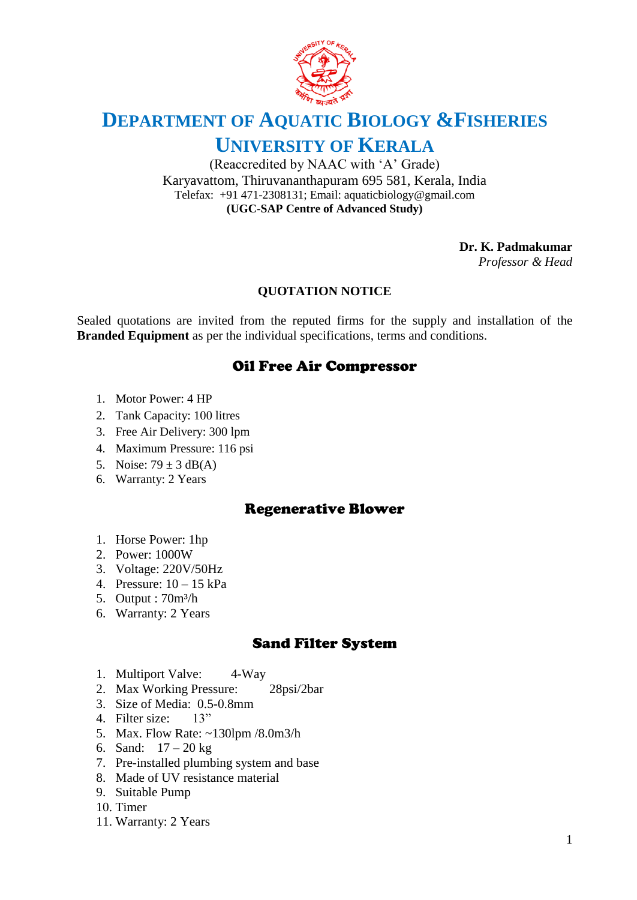

# **DEPARTMENT OF AQUATIC BIOLOGY &FISHERIES UNIVERSITY OF KERALA**

(Reaccredited by NAAC with 'A' Grade) Karyavattom, Thiruvananthapuram 695 581, Kerala, India Telefax: +91 471-2308131; Email: aquaticbiology@gmail.com **(UGC-SAP Centre of Advanced Study)**

**Dr. K. Padmakumar**

*Professor & Head*

#### **QUOTATION NOTICE**

Sealed quotations are invited from the reputed firms for the supply and installation of the **Branded Equipment** as per the individual specifications, terms and conditions.

# Oil Free Air Compressor

- 1. Motor Power: 4 HP
- 2. Tank Capacity: 100 litres
- 3. Free Air Delivery: 300 lpm
- 4. Maximum Pressure: 116 psi
- 5. Noise:  $79 \pm 3$  dB(A)
- 6. Warranty: 2 Years

### Regenerative Blower

- 1. Horse Power: 1hp
- 2. Power: 1000W
- 3. Voltage: 220V/50Hz
- 4. Pressure: 10 15 kPa
- 5. Output : 70m³/h
- 6. Warranty: 2 Years

#### Sand Filter System

- 1. Multiport Valve: 4-Way
- 2. Max Working Pressure: 28psi/2bar
- 3. Size of Media: 0.5-0.8mm
- 4. Filter size: 13"
- 5. Max. Flow Rate: ~130lpm /8.0m3/h
- 6. Sand:  $17 20$  kg
- 7. Pre-installed plumbing system and base
- 8. Made of UV resistance material
- 9. Suitable Pump
- 10. Timer
- 11. Warranty: 2 Years